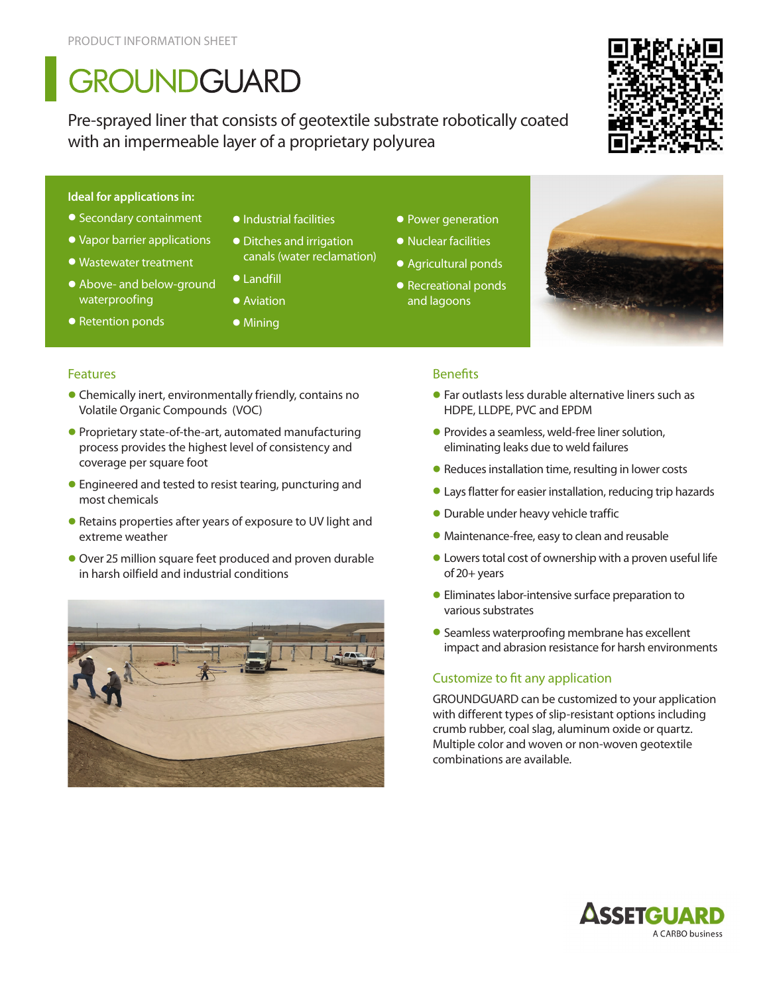# GROUNDGUARD

Pre-sprayed liner that consists of geotextile substrate robotically coated with an impermeable layer of a proprietary polyurea



#### **Ideal for applications in:**

- Secondary containment
- Vapor barrier applications
- Wastewater treatment
- Above- and below-ground waterproofing

coverage per square foot

most chemicals

• Retention ponds

**Features** 

- •Industrial facilities
- Ditches and irrigation canals (water reclamation)
- Landfill
- Aviation
- Mining

• Chemically inert, environmentally friendly, contains no

• Proprietary state-of-the-art, automated manufacturing process provides the highest level of consistency and

• Engineered and tested to resist tearing, puncturing and

• Retains properties after years of exposure to UV light and

Volatile Organic Compounds (VOC)

- Power generation
- Nuclear facilities
- Agricultural ponds
- Recreational ponds and lagoons



### **Benefits**

- Far outlasts less durable alternative liners such as HDPE, LLDPE, PVC and EPDM
- Provides a seamless, weld-free liner solution, eliminating leaks due to weld failures
- Reduces installation time, resulting in lower costs
- Lays flatter for easier installation, reducing trip hazards
- Durable under heavy vehicle traffic
- Maintenance-free, easy to clean and reusable
- Lowers total cost of ownership with a proven useful life of 20+ years
- Eliminates labor-intensive surface preparation to various substrates
- Seamless waterproofing membrane has excellent impact and abrasion resistance for harsh environments

### Customize to fit any application

GROUNDGUARD can be customized to your application with different types of slip-resistant options including crumb rubber, coal slag, aluminum oxide or quartz. Multiple color and woven or non-woven geotextile combinations are available.